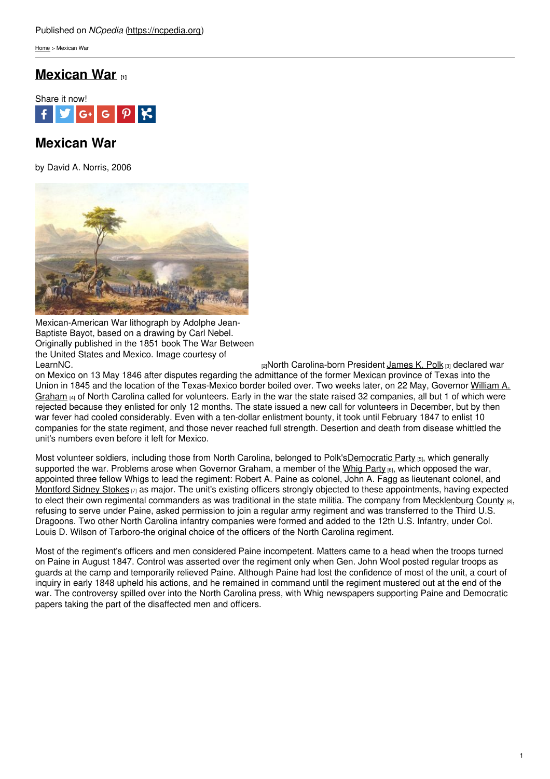[Home](https://ncpedia.org/) > Mexican War

## **[Mexican](https://ncpedia.org/mexican-war) War [1]**



# **Mexican War**

by David A. Norris, 2006



Mexican-American War lithograph by Adolphe Jean-Baptiste Bayot, based on a drawing by Carl Nebel. Originally published in the 1851 book The War Between the United States and Mexico. Image courtesy of

[LearnNC.](http://www.learnnc.org/lp/multimedia/12177) LearnOC. **Example 2018** 2. **LearnOC.** Example 2. The state of the state of the state of the state of the state of the state of the state of the state of the state of the state of the state of the state of the stat on Mexico on 13 May 1846 after disputes regarding the admittance of the former Mexican province of Texas into the Union in 1845 and the location of the [Texas-Mexico](https://ncpedia.org/graham-william-alexander-research) border boiled over. Two weeks later, on 22 May, Governor William A. Graham [4] of North Carolina called for volunteers. Early in the war the state raised 32 companies, all but 1 of which were rejected because they enlisted for only 12 months. The state issued a new call for volunteers in December, but by then war fever had cooled considerably. Even with a ten-dollar enlistment bounty, it took until February 1847 to enlist 10 companies for the state regiment, and those never reached full strength. Desertion and death from disease whittled the unit's numbers even before it left for Mexico.

Most volunteer soldiers, including those from North Carolina, belonged to Polk's[Democratic](https://ncpedia.org/democratic-party) Party [5], which generally supported the war. Problems arose when Governor Graham, a member of the [Whig](https://ncpedia.org/whig-party) Party [6], which opposed the war, appointed three fellow Whigs to lead the regiment: Robert A. Paine as colonel, John A. Fagg as lieutenant colonel, and [Montford](https://ncpedia.org/biography/stokes-montfort-sidney) Sidney Stokes  $\overline{z}$  as major. The unit's existing officers strongly objected to these appointments, having expected to elect their own regimental commanders as was traditional in the state militia. The company from [Mecklenburg](https://ncpedia.org/geography/mecklenburg) County [8], refusing to serve under Paine, asked permission to join a regular army regiment and was transferred to the Third U.S. Dragoons. Two other North Carolina infantry companies were formed and added to the 12th U.S. Infantry, under Col. Louis D. Wilson of Tarboro-the original choice of the officers of the North Carolina regiment.

Most of the regiment's officers and men considered Paine incompetent. Matters came to a head when the troops turned on Paine in August 1847. Control was asserted over the regiment only when Gen. John Wool posted regular troops as guards at the camp and temporarily relieved Paine. Although Paine had lost the confidence of most of the unit, a court of inquiry in early 1848 upheld his actions, and he remained in command until the regiment mustered out at the end of the war. The controversy spilled over into the North Carolina press, with Whig newspapers supporting Paine and Democratic papers taking the part of the disaffected men and officers.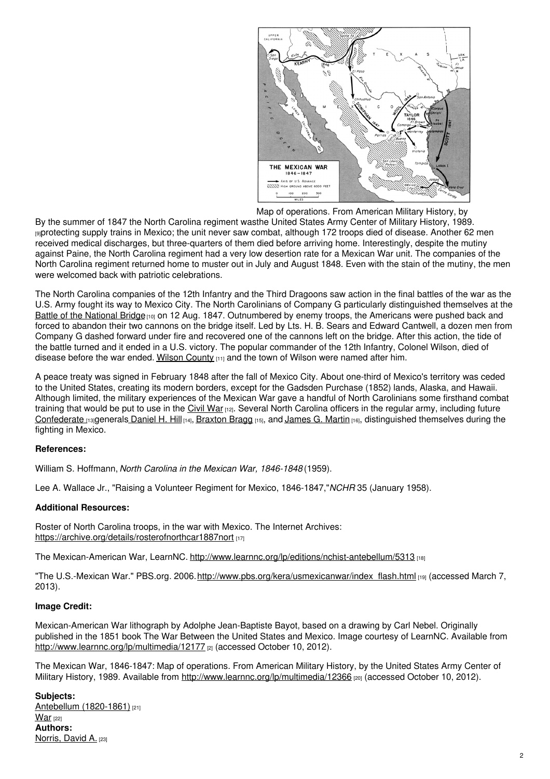

Map of operations. From American Military History, by

By the summer of 1847 the North Carolina regiment wasthe United States Army Center of Military [History,](https://ncpedia.org/sites/default/files/mexican_war_map.jpg) 1989. [9]protecting supply trains in Mexico; the unit never saw combat, although 172 troops died of disease. Another 62 men received medical discharges, but three-quarters of them died before arriving home. Interestingly, despite the mutiny against Paine, the North Carolina regiment had a very low desertion rate for a Mexican War unit. The companies of the North Carolina regiment returned home to muster out in July and August 1848. Even with the stain of the mutiny, the men were welcomed back with patriotic celebrations.

The North Carolina companies of the 12th Infantry and the Third Dragoons saw action in the final battles of the war as the U.S. Army fought its way to Mexico City. The North Carolinians of Company G particularly distinguished themselves at the Battle of the [National](http://www.lib.utexas.edu/taro/utarl/00169/arl-00169.html) Bridge<sup>[10]</sup> on 12 Aug. 1847. Outnumbered by enemy troops, the Americans were pushed back and forced to abandon their two cannons on the bridge itself. Led by Lts. H. B. Sears and Edward Cantwell, a dozen men from Company G dashed forward under fire and recovered one of the cannons left on the bridge. After this action, the tide of the battle turned and it ended in a U.S. victory. The popular commander of the 12th Infantry, Colonel Wilson, died of disease before the war ended. Wilson [County](https://ncpedia.org/geography/wilson) [11] and the town of Wilson were named after him.

A peace treaty was signed in February 1848 after the fall of Mexico City. About one-third of Mexico's territory was ceded to the United States, creating its modern borders, except for the Gadsden Purchase (1852) lands, Alaska, and Hawaii. Although limited, the military experiences of the Mexican War gave a handful of North Carolinians some firsthand combat training that would be put to use in the [Civil](https://ncpedia.org/history/cw-1900/civil-war) War [12]. Several North Carolina officers in the regular army, including future [Confederate](https://ncpedia.org/confederate-party) [13]generals [Daniel](http://www.cmhpf.org/personalities/dhhill.html) H. Hill [14], [Braxton](https://ncpedia.org/biography/bragg-braxton) Bragg [15], and [James](https://www.ncmuseumofhistory.org/exhibits/civilwar/about_section1c.html#2) G. Martin [16], distinguished themselves during the fighting in Mexico.

### **References:**

William S. Hoffmann, *North Carolina in the Mexican War, 1846-1848* (1959).

Lee A. Wallace Jr., "Raising a Volunteer Regiment for Mexico, 1846-1847,"*NCHR* 35 (January 1958).

### **Additional Resources:**

Roster of North Carolina troops, in the war with Mexico. The Internet Archives: <https://archive.org/details/rosterofnorthcar1887nort> [17]

The Mexican-American War, LearnNC. <http://www.learnnc.org/lp/editions/nchist-antebellum/5313> [18]

"The U.S.-Mexican War." PBS.org. 2006.[http://www.pbs.org/kera/usmexicanwar/index\\_flash.html](http://www.pbs.org/kera/usmexicanwar/index_flash.html) [19] (accessed March 7, 2013).

### **Image Credit:**

Mexican-American War lithograph by Adolphe Jean-Baptiste Bayot, based on a drawing by Carl Nebel. Originally published in the 1851 book The War Between the United States and Mexico. Image courtesy of LearnNC. Available from <http://www.learnnc.org/lp/multimedia/12177> [2] (accessed October 10, 2012).

The Mexican War, 1846-1847: Map of operations. From American Military History, by the United States Army Center of Military History, 1989. Available from <http://www.learnnc.org/lp/multimedia/12366> [20] (accessed October 10, 2012).

**Subjects:** Antebellum [\(1820-1861\)](https://ncpedia.org/category/subjects/antebellum-1820-1) [21]  $War$ <sub>[22]</sub> **Authors:** [Norris,](https://ncpedia.org/category/authors/norris-david) David A. [23]